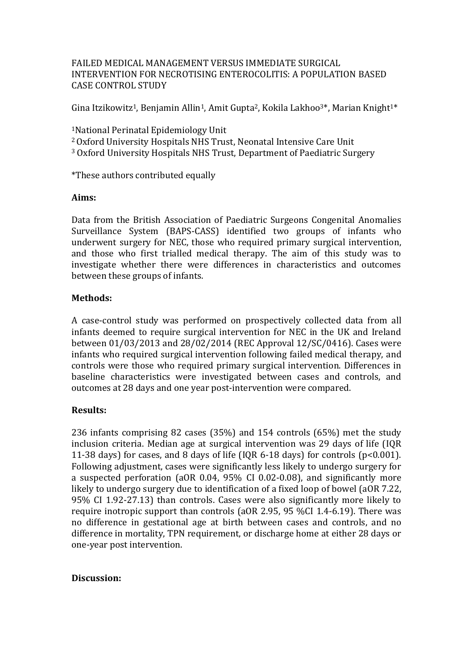### FAILED MEDICAL MANAGEMENT VERSUS IMMEDIATE SURGICAL INTERVENTION FOR NECROTISING ENTEROCOLITIS: A POPULATION BASED CASE CONTROL STUDY

Gina Itzikowitz<sup>1</sup>, Benjamin Allin<sup>1</sup>, Amit Gupta<sup>2</sup>, Kokila Lakhoo<sup>3\*</sup>, Marian Knight<sup>1\*</sup>

<sup>1</sup>National Perinatal Epidemiology Unit

<sup>2</sup>Oxford University Hospitals NHS Trust, Neonatal Intensive Care Unit

<sup>3</sup> Oxford University Hospitals NHS Trust, Department of Paediatric Surgery

\*These authors contributed equally

#### **Aims:**

Data from the British Association of Paediatric Surgeons Congenital Anomalies Surveillance System (BAPS-CASS) identified two groups of infants who underwent surgery for NEC, those who required primary surgical intervention, and those who first trialled medical therapy. The aim of this study was to investigate whether there were differences in characteristics and outcomes between these groups of infants.

# **Methods:**

A case-control study was performed on prospectively collected data from all infants deemed to require surgical intervention for NEC in the UK and Ireland between 01/03/2013 and 28/02/2014 (REC Approval 12/SC/0416). Cases were infants who required surgical intervention following failed medical therapy, and controls were those who required primary surgical intervention. Differences in baseline characteristics were investigated between cases and controls, and outcomes at 28 days and one year post-intervention were compared.

# **Results:**

236 infants comprising 82 cases (35%) and 154 controls (65%) met the study inclusion criteria. Median age at surgical intervention was 29 days of life (IQR 11-38 days) for cases, and 8 days of life (IQR 6-18 days) for controls (p<0.001). Following adjustment, cases were significantly less likely to undergo surgery for a suspected perforation (aOR 0.04, 95% CI 0.02-0.08), and significantly more likely to undergo surgery due to identification of a fixed loop of bowel (aOR 7.22, 95% CI 1.92-27.13) than controls. Cases were also significantly more likely to require inotropic support than controls (aOR 2.95, 95 %CI 1.4-6.19). There was no difference in gestational age at birth between cases and controls, and no difference in mortality, TPN requirement, or discharge home at either 28 days or one-year post intervention.

#### **Discussion:**